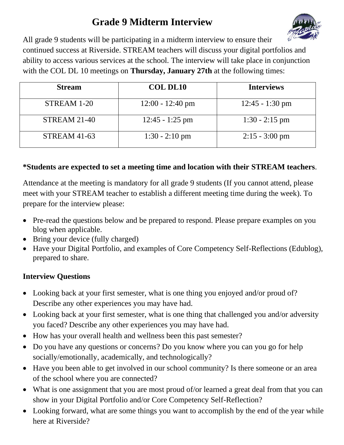## **Grade 9 Midterm Interview**



All grade 9 students will be participating in a midterm interview to ensure their continued success at Riverside. STREAM teachers will discuss your digital portfolios and ability to access various services at the school. The interview will take place in conjunction with the COL DL 10 meetings on **Thursday, January 27th** at the following times:

| <b>Stream</b>       | <b>COL DL10</b>            | <b>Interviews</b> |
|---------------------|----------------------------|-------------------|
| STREAM 1-20         | $12:00 - 12:40 \text{ pm}$ | $12:45 - 1:30$ pm |
| <b>STREAM 21-40</b> | $12:45 - 1:25$ pm          | $1:30 - 2:15$ pm  |
| <b>STREAM 41-63</b> | $1:30 - 2:10$ pm           | $2:15 - 3:00$ pm  |

## **\*Students are expected to set a meeting time and location with their STREAM teachers**.

Attendance at the meeting is mandatory for all grade 9 students (If you cannot attend, please meet with your STREAM teacher to establish a different meeting time during the week). To prepare for the interview please:

- Pre-read the questions below and be prepared to respond. Please prepare examples on you blog when applicable.
- Bring your device (fully charged)
- Have your Digital Portfolio, and examples of Core Competency Self-Reflections (Edublog), prepared to share.

## **Interview Questions**

- Looking back at your first semester, what is one thing you enjoyed and/or proud of? Describe any other experiences you may have had.
- Looking back at your first semester, what is one thing that challenged you and/or adversity you faced? Describe any other experiences you may have had.
- How has your overall health and wellness been this past semester?
- Do you have any questions or concerns? Do you know where you can you go for help socially/emotionally, academically, and technologically?
- Have you been able to get involved in our school community? Is there someone or an area of the school where you are connected?
- What is one assignment that you are most proud of/or learned a great deal from that you can show in your Digital Portfolio and/or Core Competency Self-Reflection?
- Looking forward, what are some things you want to accomplish by the end of the year while here at Riverside?